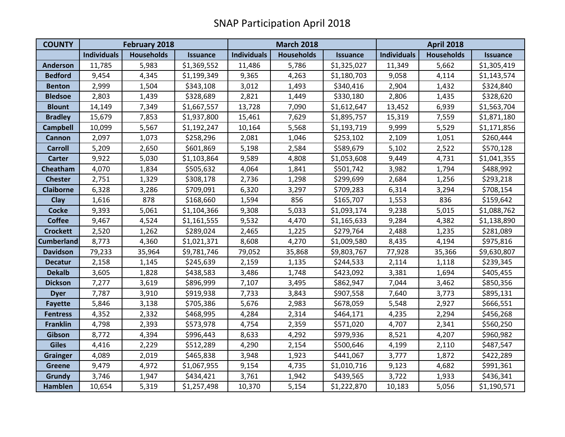| <b>COUNTY</b>     | <b>February 2018</b> |                   |                 | <b>March 2018</b>  |                   |                 | <b>April 2018</b>  |                   |                 |
|-------------------|----------------------|-------------------|-----------------|--------------------|-------------------|-----------------|--------------------|-------------------|-----------------|
|                   | <b>Individuals</b>   | <b>Households</b> | <b>Issuance</b> | <b>Individuals</b> | <b>Households</b> | <b>Issuance</b> | <b>Individuals</b> | <b>Households</b> | <b>Issuance</b> |
| <b>Anderson</b>   | 11,785               | 5,983             | \$1,369,552     | 11,486             | 5,786             | \$1,325,027     | 11,349             | 5,662             | \$1,305,419     |
| <b>Bedford</b>    | 9,454                | 4,345             | \$1,199,349     | 9,365              | 4,263             | \$1,180,703     | 9,058              | 4,114             | \$1,143,574     |
| <b>Benton</b>     | 2,999                | 1,504             | \$343,108       | 3,012              | 1,493             | \$340,416       | 2,904              | 1,432             | \$324,840       |
| <b>Bledsoe</b>    | 2,803                | 1,439             | \$328,689       | 2,821              | 1,449             | \$330,180       | 2,806              | 1,435             | \$328,620       |
| <b>Blount</b>     | 14,149               | 7,349             | \$1,667,557     | 13,728             | 7,090             | \$1,612,647     | 13,452             | 6,939             | \$1,563,704     |
| <b>Bradley</b>    | 15,679               | 7,853             | \$1,937,800     | 15,461             | 7,629             | \$1,895,757     | 15,319             | 7,559             | \$1,871,180     |
| <b>Campbell</b>   | 10,099               | 5,567             | \$1,192,247     | 10,164             | 5,568             | \$1,193,719     | 9,999              | 5,529             | \$1,171,856     |
| <b>Cannon</b>     | 2,097                | 1,073             | \$258,296       | 2,081              | 1,046             | \$253,102       | 2,109              | 1,051             | \$260,444       |
| <b>Carroll</b>    | 5,209                | 2,650             | \$601,869       | 5,198              | 2,584             | \$589,679       | 5,102              | 2,522             | \$570,128       |
| <b>Carter</b>     | 9,922                | 5,030             | \$1,103,864     | 9,589              | 4,808             | \$1,053,608     | 9,449              | 4,731             | \$1,041,355     |
| Cheatham          | 4,070                | 1,834             | \$505,632       | 4,064              | 1,841             | \$501,742       | 3,982              | 1,794             | \$488,992       |
| <b>Chester</b>    | 2,751                | 1,329             | \$308,178       | 2,736              | 1,298             | \$299,699       | 2,684              | 1,256             | \$293,218       |
| <b>Claiborne</b>  | 6,328                | 3,286             | \$709,091       | 6,320              | 3,297             | \$709,283       | 6,314              | 3,294             | \$708,154       |
| Clay              | 1,616                | 878               | \$168,660       | 1,594              | 856               | \$165,707       | 1,553              | 836               | \$159,642       |
| <b>Cocke</b>      | 9,393                | 5,061             | \$1,104,366     | 9,308              | 5,033             | \$1,093,174     | 9,238              | 5,015             | \$1,088,762     |
| <b>Coffee</b>     | 9,467                | 4,524             | \$1,161,555     | 9,532              | 4,470             | \$1,165,633     | 9,284              | 4,382             | \$1,138,890     |
| <b>Crockett</b>   | 2,520                | 1,262             | \$289,024       | 2,465              | 1,225             | \$279,764       | 2,488              | 1,235             | \$281,089       |
| <b>Cumberland</b> | 8,773                | 4,360             | \$1,021,371     | 8,608              | 4,270             | \$1,009,580     | 8,435              | 4,194             | \$975,816       |
| <b>Davidson</b>   | 79,233               | 35,964            | \$9,781,746     | 79,052             | 35,868            | \$9,803,767     | 77,928             | 35,366            | \$9,630,807     |
| <b>Decatur</b>    | 2,158                | 1,145             | \$245,639       | 2,159              | 1,135             | \$244,533       | 2,114              | 1,118             | \$239,345       |
| <b>Dekalb</b>     | 3,605                | 1,828             | \$438,583       | 3,486              | 1,748             | \$423,092       | 3,381              | 1,694             | \$405,455       |
| <b>Dickson</b>    | 7,277                | 3,619             | \$896,999       | 7,107              | 3,495             | \$862,947       | 7,044              | 3,462             | \$850,356       |
| <b>Dyer</b>       | 7,787                | 3,910             | \$919,938       | 7,733              | 3,843             | \$907,558       | 7,640              | 3,773             | \$895,131       |
| <b>Fayette</b>    | 5,846                | 3,138             | \$705,386       | 5,676              | 2,983             | \$678,059       | 5,548              | 2,927             | \$666,551       |
| <b>Fentress</b>   | 4,352                | 2,332             | \$468,995       | 4,284              | 2,314             | \$464,171       | 4,235              | 2,294             | \$456,268       |
| <b>Franklin</b>   | 4,798                | 2,393             | \$573,978       | 4,754              | 2,359             | \$571,020       | 4,707              | 2,341             | \$560,250       |
| Gibson            | 8,772                | 4,394             | \$996,443       | 8,633              | 4,292             | \$979,936       | 8,521              | 4,207             | \$960,982       |
| <b>Giles</b>      | 4,416                | 2,229             | \$512,289       | 4,290              | 2,154             | \$500,646       | 4,199              | 2,110             | \$487,547       |
| <b>Grainger</b>   | 4,089                | 2,019             | \$465,838       | 3,948              | 1,923             | \$441,067       | 3,777              | 1,872             | \$422,289       |
| <b>Greene</b>     | 9,479                | 4,972             | \$1,067,955     | 9,154              | 4,735             | \$1,010,716     | 9,123              | 4,682             | \$991,361       |
| Grundy            | 3,746                | 1,947             | \$434,421       | 3,761              | 1,942             | \$439,565       | 3,722              | 1,933             | \$436,341       |
| <b>Hamblen</b>    | 10,654               | 5,319             | \$1,257,498     | 10,370             | 5,154             | \$1,222,870     | 10,183             | 5,056             | \$1,190,571     |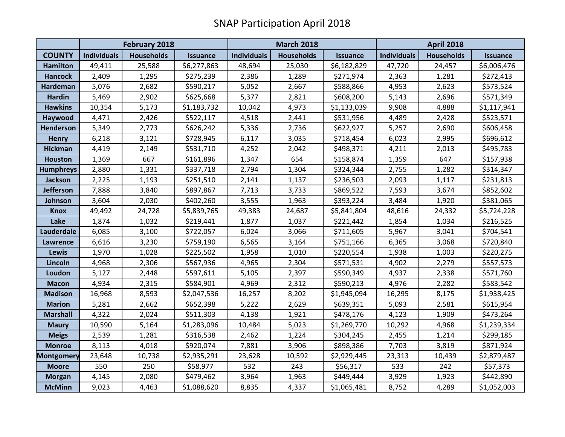|                   | <b>February 2018</b> |                   |                 | <b>March 2018</b>  |            |                 | <b>April 2018</b>  |                   |             |
|-------------------|----------------------|-------------------|-----------------|--------------------|------------|-----------------|--------------------|-------------------|-------------|
| <b>COUNTY</b>     | <b>Individuals</b>   | <b>Households</b> | <b>Issuance</b> | <b>Individuals</b> | Households | <b>Issuance</b> | <b>Individuals</b> | <b>Households</b> | Issuance    |
| <b>Hamilton</b>   | 49,411               | 25,588            | \$6,277,863     | 48,694             | 25,030     | \$6,182,829     | 47,720             | 24,457            | \$6,006,476 |
| <b>Hancock</b>    | 2,409                | 1,295             | \$275,239       | 2,386              | 1,289      | \$271,974       | 2,363              | 1,281             | \$272,413   |
| Hardeman          | 5,076                | 2,682             | \$590,217       | 5,052              | 2,667      | \$588,866       | 4,953              | 2,623             | \$573,524   |
| <b>Hardin</b>     | 5,469                | 2,902             | \$625,668       | 5,377              | 2,821      | \$608,200       | 5,143              | 2,696             | \$571,349   |
| <b>Hawkins</b>    | 10,354               | 5,173             | \$1,183,732     | 10,042             | 4,973      | \$1,133,039     | 9,908              | 4,888             | \$1,117,941 |
| Haywood           | 4,471                | 2,426             | \$522,117       | 4,518              | 2,441      | \$531,956       | 4,489              | 2,428             | \$523,571   |
| Henderson         | 5,349                | 2,773             | \$626,242       | 5,336              | 2,736      | \$622,927       | 5,257              | 2,690             | \$606,458   |
| <b>Henry</b>      | 6,218                | 3,121             | \$728,945       | 6,117              | 3,035      | \$718,454       | 6,023              | 2,995             | \$696,612   |
| <b>Hickman</b>    | 4,419                | 2,149             | \$531,710       | 4,252              | 2,042      | \$498,371       | 4,211              | 2,013             | \$495,783   |
| <b>Houston</b>    | 1,369                | 667               | \$161,896       | 1,347              | 654        | \$158,874       | 1,359              | 647               | \$157,938   |
| <b>Humphreys</b>  | 2,880                | 1,331             | \$337,718       | 2,794              | 1,304      | \$324,344       | 2,755              | 1,282             | \$314,347   |
| <b>Jackson</b>    | 2,225                | 1,193             | \$251,510       | 2,141              | 1,137      | \$236,503       | 2,093              | 1,117             | \$231,813   |
| <b>Jefferson</b>  | 7,888                | 3,840             | \$897,867       | 7,713              | 3,733      | \$869,522       | 7,593              | 3,674             | \$852,602   |
| Johnson           | 3,604                | 2,030             | \$402,260       | 3,555              | 1,963      | \$393,224       | 3,484              | 1,920             | \$381,065   |
| <b>Knox</b>       | 49,492               | 24,728            | \$5,839,765     | 49,383             | 24,687     | \$5,841,804     | 48,616             | 24,332            | \$5,724,228 |
| Lake              | 1,874                | 1,032             | \$219,441       | 1,877              | 1,037      | \$221,442       | 1,854              | 1,034             | \$216,525   |
| Lauderdale        | 6,085                | 3,100             | \$722,057       | 6,024              | 3,066      | \$711,605       | 5,967              | 3,041             | \$704,541   |
| Lawrence          | 6,616                | 3,230             | \$759,190       | 6,565              | 3,164      | \$751,166       | 6,365              | 3,068             | \$720,840   |
| <b>Lewis</b>      | 1,970                | 1,028             | \$225,502       | 1,958              | 1,010      | \$220,554       | 1,938              | 1,003             | \$220,275   |
| Lincoln           | 4,968                | 2,306             | \$567,936       | 4,965              | 2,304      | \$571,531       | 4,902              | 2,279             | \$557,573   |
| Loudon            | 5,127                | 2,448             | \$597,611       | 5,105              | 2,397      | \$590,349       | 4,937              | 2,338             | \$571,760   |
| <b>Macon</b>      | 4,934                | 2,315             | \$584,901       | 4,969              | 2,312      | \$590,213       | 4,976              | 2,282             | \$583,542   |
| <b>Madison</b>    | 16,968               | 8,593             | \$2,047,536     | 16,257             | 8,202      | \$1,945,094     | 16,295             | 8,175             | \$1,938,425 |
| <b>Marion</b>     | 5,281                | 2,662             | \$652,398       | 5,222              | 2,629      | \$639,351       | 5,093              | 2,581             | \$615,954   |
| <b>Marshall</b>   | 4,322                | 2,024             | \$511,303       | 4,138              | 1,921      | \$478,176       | 4,123              | 1,909             | \$473,264   |
| <b>Maury</b>      | 10,590               | 5,164             | \$1,283,096     | 10,484             | 5,023      | \$1,269,770     | 10,292             | 4,968             | \$1,239,334 |
| <b>Meigs</b>      | 2,539                | 1,281             | \$316,538       | 2,462              | 1,224      | \$304,245       | 2,455              | 1,214             | \$299,185   |
| <b>Monroe</b>     | 8,113                | 4,018             | \$920,074       | 7,881              | 3,906      | \$898,386       | 7,703              | 3,819             | \$871,924   |
| <b>Montgomery</b> | 23,648               | 10,738            | \$2,935,291     | 23,628             | 10,592     | \$2,929,445     | 23,313             | 10,439            | \$2,879,487 |
| <b>Moore</b>      | 550                  | 250               | \$58,977        | 532                | 243        | \$56,317        | 533                | 242               | \$57,373    |
| <b>Morgan</b>     | 4,145                | 2,080             | \$479,462       | 3,964              | 1,963      | \$449,444       | 3,929              | 1,923             | \$442,890   |
| <b>McMinn</b>     | 9,023                | 4,463             | \$1,088,620     | 8,835              | 4,337      | \$1,065,481     | 8,752              | 4,289             | \$1,052,003 |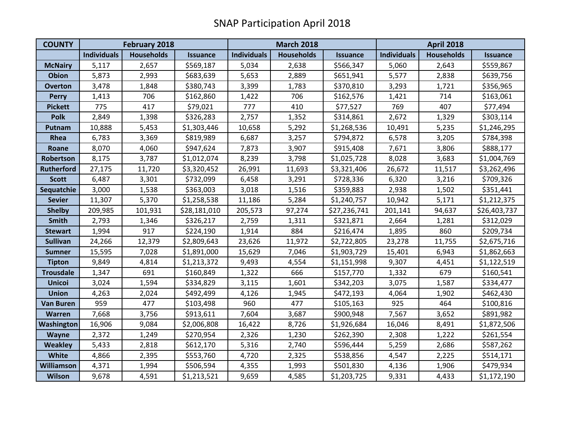| <b>COUNTY</b>     | <b>February 2018</b> |                   |              | <b>March 2018</b>  |                   |                 | <b>April 2018</b>  |                   |                 |
|-------------------|----------------------|-------------------|--------------|--------------------|-------------------|-----------------|--------------------|-------------------|-----------------|
|                   | <b>Individuals</b>   | <b>Households</b> | Issuance     | <b>Individuals</b> | <b>Households</b> | <b>Issuance</b> | <b>Individuals</b> | <b>Households</b> | <b>Issuance</b> |
| <b>McNairy</b>    | 5,117                | 2,657             | \$569,187    | 5,034              | 2,638             | \$566,347       | 5,060              | 2,643             | \$559,867       |
| <b>Obion</b>      | 5,873                | 2,993             | \$683,639    | 5,653              | 2,889             | \$651,941       | 5,577              | 2,838             | \$639,756       |
| <b>Overton</b>    | 3,478                | 1,848             | \$380,743    | 3,399              | 1,783             | \$370,810       | 3,293              | 1,721             | \$356,965       |
| <b>Perry</b>      | 1,413                | 706               | \$162,860    | 1,422              | 706               | \$162,576       | 1,421              | 714               | \$163,061       |
| <b>Pickett</b>    | 775                  | 417               | \$79,021     | 777                | 410               | \$77,527        | 769                | 407               | \$77,494        |
| <b>Polk</b>       | 2,849                | 1,398             | \$326,283    | 2,757              | 1,352             | \$314,861       | 2,672              | 1,329             | \$303,114       |
| Putnam            | 10,888               | 5,453             | \$1,303,446  | 10,658             | 5,292             | \$1,268,536     | 10,491             | 5,235             | \$1,246,295     |
| Rhea              | 6,783                | 3,369             | \$819,989    | 6,687              | 3,257             | \$794,872       | 6,578              | 3,205             | \$784,398       |
| Roane             | 8,070                | 4,060             | \$947,624    | 7,873              | 3,907             | \$915,408       | 7,671              | 3,806             | \$888,177       |
| Robertson         | 8,175                | 3,787             | \$1,012,074  | 8,239              | 3,798             | \$1,025,728     | 8,028              | 3,683             | \$1,004,769     |
| <b>Rutherford</b> | 27,175               | 11,720            | \$3,320,452  | 26,991             | 11,693            | \$3,321,406     | 26,672             | 11,517            | \$3,262,496     |
| <b>Scott</b>      | 6,487                | 3,301             | \$732,099    | 6,458              | 3,291             | \$728,336       | 6,320              | 3,216             | \$709,326       |
| Sequatchie        | 3,000                | 1,538             | \$363,003    | 3,018              | 1,516             | \$359,883       | 2,938              | 1,502             | \$351,441       |
| <b>Sevier</b>     | 11,307               | 5,370             | \$1,258,538  | 11,186             | 5,284             | \$1,240,757     | 10,942             | 5,171             | \$1,212,375     |
| <b>Shelby</b>     | 209,985              | 101,931           | \$28,181,010 | 205,573            | 97,274            | \$27,236,741    | 201,141            | 94,637            | \$26,403,737    |
| <b>Smith</b>      | 2,793                | 1,346             | \$326,217    | 2,759              | 1,311             | \$321,871       | 2,664              | 1,281             | \$312,029       |
| <b>Stewart</b>    | 1,994                | 917               | \$224,190    | 1,914              | 884               | \$216,474       | 1,895              | 860               | \$209,734       |
| <b>Sullivan</b>   | 24,266               | 12,379            | \$2,809,643  | 23,626             | 11,972            | \$2,722,805     | 23,278             | 11,755            | \$2,675,716     |
| <b>Sumner</b>     | 15,595               | 7,028             | \$1,891,000  | 15,629             | 7,046             | \$1,903,729     | 15,401             | 6,943             | \$1,862,663     |
| <b>Tipton</b>     | 9,849                | 4,814             | \$1,213,372  | 9,493              | 4,554             | \$1,151,998     | 9,307              | 4,451             | \$1,122,519     |
| <b>Trousdale</b>  | 1,347                | 691               | \$160,849    | 1,322              | 666               | \$157,770       | 1,332              | 679               | \$160,541       |
| <b>Unicoi</b>     | 3,024                | 1,594             | \$334,829    | 3,115              | 1,601             | \$342,203       | 3,075              | 1,587             | \$334,477       |
| <b>Union</b>      | 4,263                | 2,024             | \$492,499    | 4,126              | 1,945             | \$472,193       | 4,064              | 1,902             | \$462,430       |
| <b>Van Buren</b>  | 959                  | 477               | \$103,498    | 960                | 477               | \$105,163       | 925                | 464               | \$100,816       |
| <b>Warren</b>     | 7,668                | 3,756             | \$913,611    | 7,604              | 3,687             | \$900,948       | 7,567              | 3,652             | \$891,982       |
| Washington        | 16,906               | 9,084             | \$2,006,808  | 16,422             | 8,726             | \$1,926,684     | 16,046             | 8,491             | \$1,872,506     |
| Wayne             | 2,372                | 1,249             | \$270,954    | 2,326              | 1,230             | \$262,390       | 2,308              | 1,222             | \$261,554       |
| <b>Weakley</b>    | 5,433                | 2,818             | \$612,170    | 5,316              | 2,740             | \$596,444       | 5,259              | 2,686             | \$587,262       |
| White             | 4,866                | 2,395             | \$553,760    | 4,720              | 2,325             | \$538,856       | 4,547              | 2,225             | \$514,171       |
| <b>Williamson</b> | 4,371                | 1,994             | \$506,594    | 4,355              | 1,993             | \$501,830       | 4,136              | 1,906             | \$479,934       |
| <b>Wilson</b>     | 9,678                | 4,591             | \$1,213,521  | 9,659              | 4,585             | \$1,203,725     | 9,331              | 4,433             | \$1,172,190     |